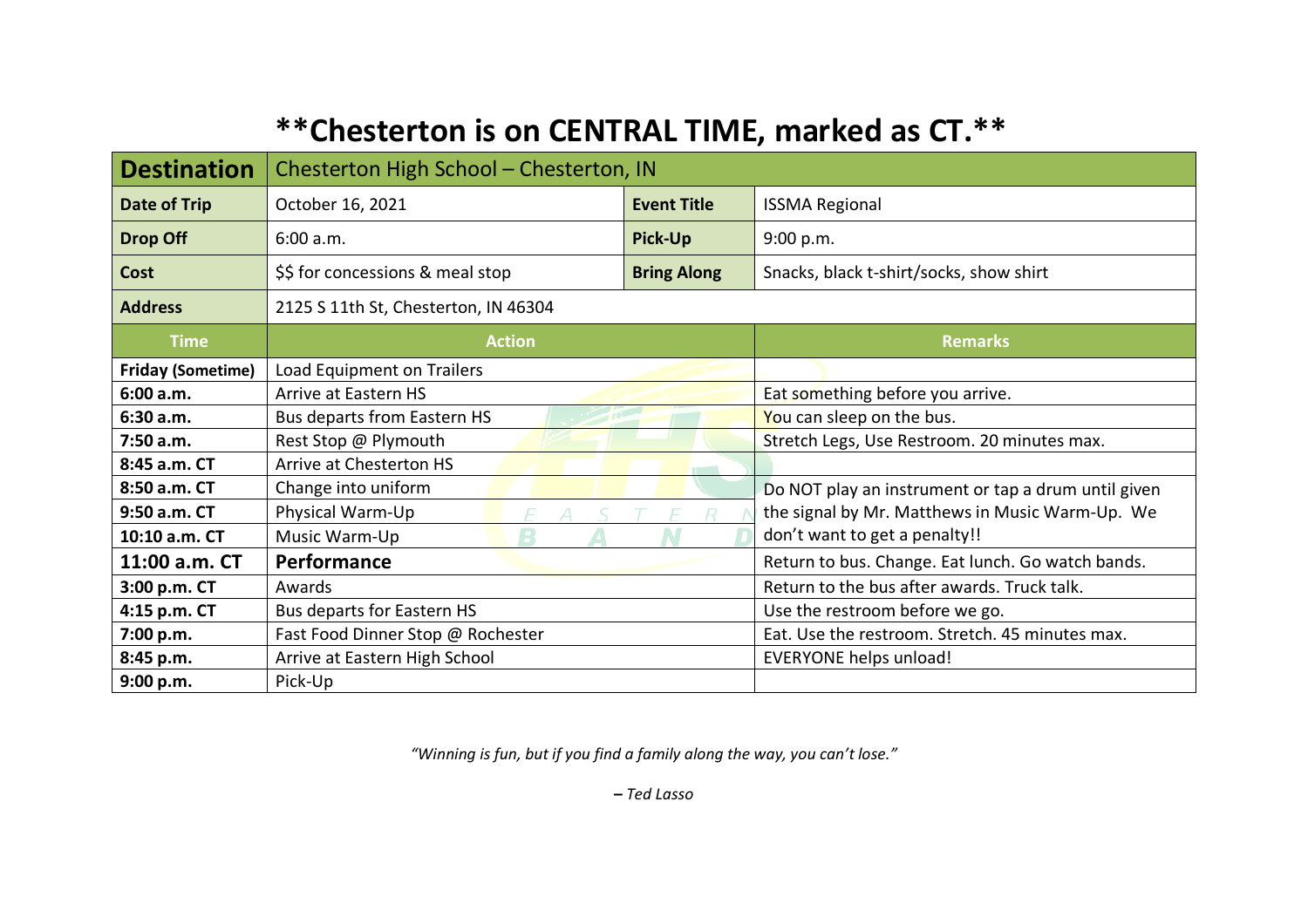## **\*\*Chesterton is on CENTRAL TIME, marked as CT.\*\***

| <b>Destination</b>       | Chesterton High School - Chesterton, IN |                    |                                                     |
|--------------------------|-----------------------------------------|--------------------|-----------------------------------------------------|
| Date of Trip             | October 16, 2021                        | <b>Event Title</b> | <b>ISSMA Regional</b>                               |
| <b>Drop Off</b>          | 6:00 a.m.                               | <b>Pick-Up</b>     | 9:00 p.m.                                           |
| <b>Cost</b>              | \$\$ for concessions & meal stop        | <b>Bring Along</b> | Snacks, black t-shirt/socks, show shirt             |
| <b>Address</b>           | 2125 S 11th St, Chesterton, IN 46304    |                    |                                                     |
| <b>Time</b>              | <b>Action</b>                           |                    | <b>Remarks</b>                                      |
| <b>Friday (Sometime)</b> | Load Equipment on Trailers              |                    |                                                     |
| 6:00 a.m.                | Arrive at Eastern HS                    |                    | Eat something before you arrive.                    |
| 6:30a.m.                 | Bus departs from Eastern HS             |                    | You can sleep on the bus.                           |
| 7:50 a.m.                | Rest Stop @ Plymouth                    |                    | Stretch Legs, Use Restroom. 20 minutes max.         |
| 8:45 a.m. CT             | Arrive at Chesterton HS                 |                    |                                                     |
| 8:50 a.m. CT             | Change into uniform                     |                    | Do NOT play an instrument or tap a drum until given |
| 9:50 a.m. CT             | Physical Warm-Up                        |                    | the signal by Mr. Matthews in Music Warm-Up. We     |
| 10:10 a.m. CT            | Music Warm-Up                           |                    | don't want to get a penalty!!                       |
| 11:00 a.m. CT            | Performance                             |                    | Return to bus. Change. Eat lunch. Go watch bands.   |
| 3:00 p.m. CT             | Awards                                  |                    | Return to the bus after awards. Truck talk.         |
| 4:15 p.m. CT             | Bus departs for Eastern HS              |                    | Use the restroom before we go.                      |
| 7:00 p.m.                | Fast Food Dinner Stop @ Rochester       |                    | Eat. Use the restroom. Stretch. 45 minutes max.     |
| 8:45 p.m.                | Arrive at Eastern High School           |                    | <b>EVERYONE helps unload!</b>                       |
| 9:00 p.m.                | Pick-Up                                 |                    |                                                     |

*"Winning is fun, but if you find a family along the way, you can't lose."*

**–** *Ted Lasso*